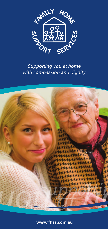

## *Supporting you at home with compassion and dignity*



**www.fhss.com.au**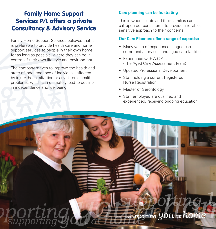# Family Home Support Services P/L offers a private Consultancy & Advisory Service

Family Home Support Services believes that it is preferable to provide health care and home support services to people in their own home for as long as possible, where they can be in control of their own lifestyle and environment.

The company strives to improve the health and state of independence of individuals affected by injury, hospitalization or any chronic health problems, which can ultimately lead to decline in independence and wellbeing.

### **Care planning can be frustrating**

This is when clients and their families can call upon our consultants to provide a reliable, sensitive approach to their concerns.

#### **Our Care Planners offer a range of expertise**

- Many years of experience in aged care in community services, and aged care facilities
- Experience with A.C.A.T. ( The Aged Care Assessment Team)
- Updated Professional Development
- Staff holding a current Registered Nurse Registration
- Master of Gerontology
- Staff employed are qualified and experienced, receiving ongoing education